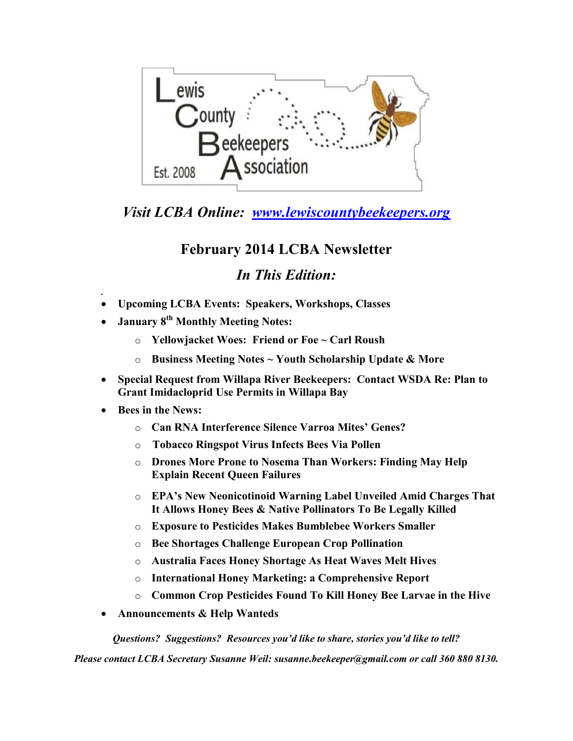

*Visit LCBA Online: [www.lewiscountybeekeepers.org](http://www.lewiscountybeekeepers.org/)*

# **February 2014 LCBA Newsletter**

# *In This Edition:*

- . **Upcoming LCBA Events: Speakers, Workshops, Classes**
- **January 8th Monthly Meeting Notes:** 
	- o **Yellowjacket Woes: Friend or Foe ~ Carl Roush**
	- o **Business Meeting Notes ~ Youth Scholarship Update & More**
- **Special Request from Willapa River Beekeepers: Contact WSDA Re: Plan to Grant Imidacloprid Use Permits in Willapa Bay**
- **Bees in the News:**
	- o **Can RNA Interference Silence Varroa Mites' Genes?**
	- o **Tobacco Ringspot Virus Infects Bees Via Pollen**
	- o **Drones More Prone to Nosema Than Workers: Finding May Help Explain Recent Queen Failures**
	- o **EPA's New Neonicotinoid Warning Label Unveiled Amid Charges That It Allows Honey Bees & Native Pollinators To Be Legally Killed**
	- o **Exposure to Pesticides Makes Bumblebee Workers Smaller**
	- o **Bee Shortages Challenge European Crop Pollination**
	- o **Australia Faces Honey Shortage As Heat Waves Melt Hives**
	- o **International Honey Marketing: a Comprehensive Report**
	- o **Common Crop Pesticides Found To Kill Honey Bee Larvae in the Hive**
- **Announcements & Help Wanteds**

*Questions? Suggestions? Resources you'd like to share, stories you'd like to tell?*

*Please contact LCBA Secretary Susanne Weil: susanne.beekeeper@gmail.com or call 360 880 8130.*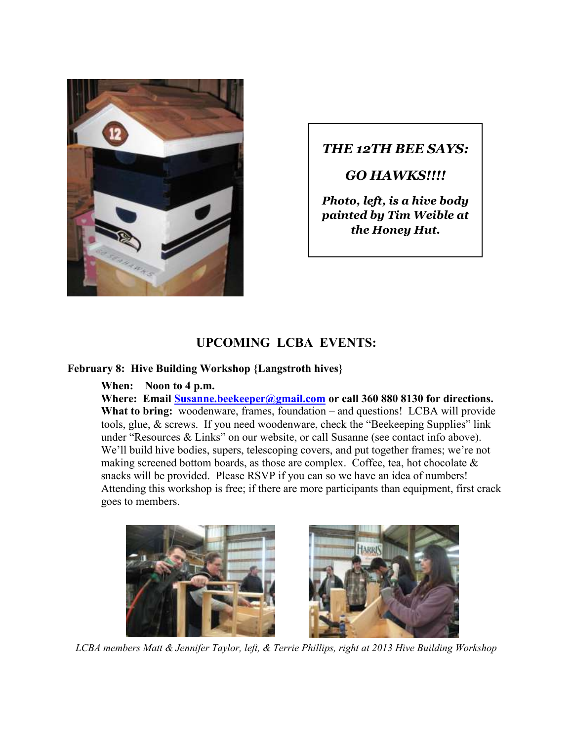

*THE 12TH BEE SAYS:*

*GO HAWKS!!!!*

*Photo, left, is a hive body painted by Tim Weible at the Honey Hut.*

## **UPCOMING LCBA EVENTS:**

#### **February 8: Hive Building Workshop {Langstroth hives}**

**When: Noon to 4 p.m.**

**Where: Email [Susanne.beekeeper@gmail.com](mailto:Susanne.beekeeper@gmail.com) or call 360 880 8130 for directions. What to bring:** woodenware, frames, foundation – and questions! LCBA will provide tools, glue, & screws. If you need woodenware, check the "Beekeeping Supplies" link under "Resources & Links" on our website, or call Susanne (see contact info above). We'll build hive bodies, supers, telescoping covers, and put together frames; we're not making screened bottom boards, as those are complex. Coffee, tea, hot chocolate  $\&$ snacks will be provided. Please RSVP if you can so we have an idea of numbers! Attending this workshop is free; if there are more participants than equipment, first crack goes to members.



*LCBA members Matt & Jennifer Taylor, left, & Terrie Phillips, right at 2013 Hive Building Workshop*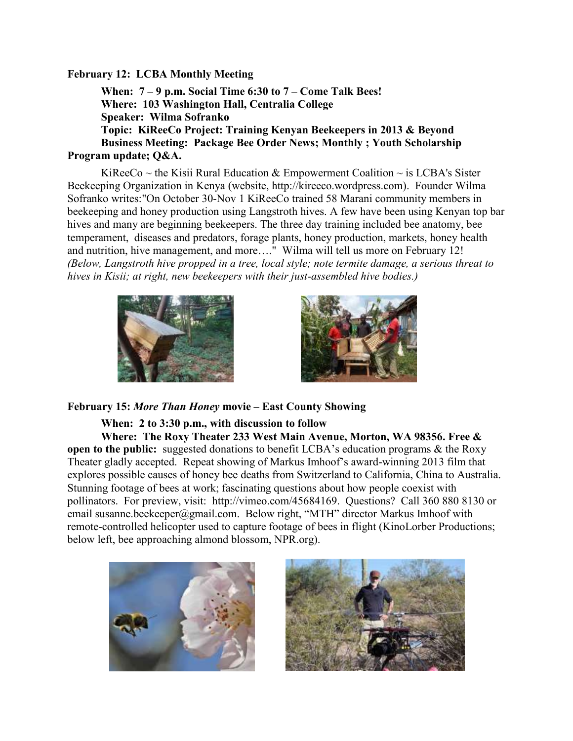#### **February 12: LCBA Monthly Meeting**

**When: 7 – 9 p.m. Social Time 6:30 to 7 – Come Talk Bees! Where: 103 Washington Hall, Centralia College Speaker: Wilma Sofranko Topic: KiReeCo Project: Training Kenyan Beekeepers in 2013 & Beyond Business Meeting: Package Bee Order News; Monthly ; Youth Scholarship Program update; Q&A.**

KiReeCo  $\sim$  the Kisii Rural Education & Empowerment Coalition  $\sim$  is LCBA's Sister Beekeeping Organization in Kenya (website, http://kireeco.wordpress.com). Founder Wilma Sofranko writes:"On October 30-Nov 1 KiReeCo trained 58 Marani community members in beekeeping and honey production using Langstroth hives. A few have been using Kenyan top bar hives and many are beginning beekeepers. The three day training included bee anatomy, bee temperament, diseases and predators, forage plants, honey production, markets, honey health and nutrition, hive management, and more…." Wilma will tell us more on February 12! *(Below, Langstroth hive propped in a tree, local style; note termite damage, a serious threat to hives in Kisii; at right, new beekeepers with their just-assembled hive bodies.)*





#### **February 15:** *More Than Honey* **movie – East County Showing**

#### **When: 2 to 3:30 p.m., with discussion to follow**

**Where: The Roxy Theater 233 West Main Avenue, Morton, WA 98356. Free & open to the public:** suggested donations to benefit LCBA's education programs & the Roxy Theater gladly accepted. Repeat showing of Markus Imhoof's award-winning 2013 film that explores possible causes of honey bee deaths from Switzerland to California, China to Australia. Stunning footage of bees at work; fascinating questions about how people coexist with pollinators. For preview, visit: http://vimeo.com/45684169. Questions? Call 360 880 8130 or email susanne.beekeeper@gmail.com. Below right, "MTH" director Markus Imhoof with remote-controlled helicopter used to capture footage of bees in flight (KinoLorber Productions; below left, bee approaching almond blossom, NPR.org).



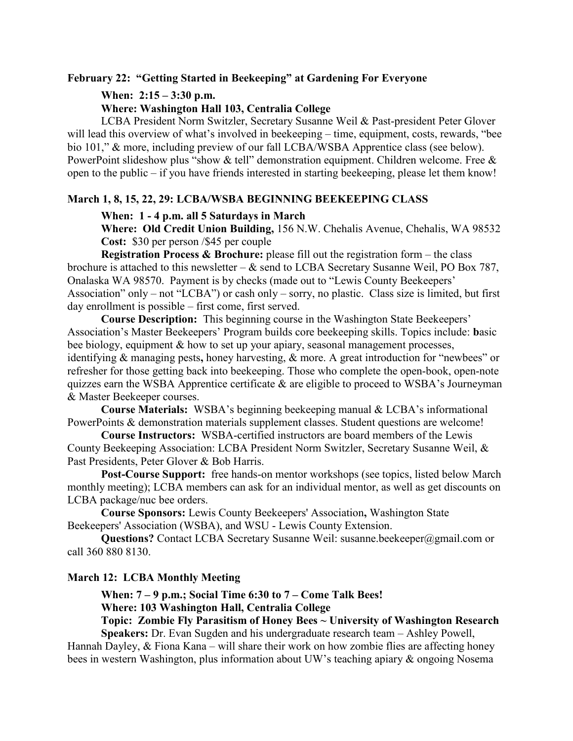#### **February 22: "Getting Started in Beekeeping" at Gardening For Everyone**

#### **When: 2:15 – 3:30 p.m.**

#### **Where: Washington Hall 103, Centralia College**

LCBA President Norm Switzler, Secretary Susanne Weil & Past-president Peter Glover will lead this overview of what's involved in beekeeping – time, equipment, costs, rewards, "bee bio 101," & more, including preview of our fall LCBA/WSBA Apprentice class (see below). PowerPoint slideshow plus "show & tell" demonstration equipment. Children welcome. Free & open to the public – if you have friends interested in starting beekeeping, please let them know!

#### **March 1, 8, 15, 22, 29: LCBA/WSBA BEGINNING BEEKEEPING CLASS**

#### **When: 1 - 4 p.m. all 5 Saturdays in March**

**Where: Old Credit Union Building,** 156 N.W. Chehalis Avenue, Chehalis, WA 98532 **Cost:** \$30 per person /\$45 per couple

**Registration Process & Brochure:** please fill out the registration form – the class brochure is attached to this newsletter –  $\&$  send to LCBA Secretary Susanne Weil, PO Box 787, Onalaska WA 98570. Payment is by checks (made out to "Lewis County Beekeepers' Association" only – not "LCBA") or cash only – sorry, no plastic. Class size is limited, but first day enrollment is possible – first come, first served.

**Course Description:** This beginning course in the Washington State Beekeepers' Association's Master Beekeepers' Program builds core beekeeping skills. Topics include: **b**asic bee biology, equipment & how to set up your apiary, seasonal management processes, identifying & managing pests**,** honey harvesting, & more. A great introduction for "newbees" or refresher for those getting back into beekeeping. Those who complete the open-book, open-note quizzes earn the WSBA Apprentice certificate & are eligible to proceed to WSBA's Journeyman & Master Beekeeper courses.

**Course Materials:** WSBA's beginning beekeeping manual & LCBA's informational PowerPoints & demonstration materials supplement classes. Student questions are welcome!

**Course Instructors:** WSBA-certified instructors are board members of the Lewis County Beekeeping Association: LCBA President Norm Switzler, Secretary Susanne Weil, & Past Presidents, Peter Glover & Bob Harris.

**Post-Course Support:** free hands-on mentor workshops (see topics, listed below March monthly meeting); LCBA members can ask for an individual mentor, as well as get discounts on LCBA package/nuc bee orders.

**Course Sponsors:** Lewis County Beekeepers' Association**,** Washington State Beekeepers' Association (WSBA), and WSU - Lewis County Extension.

**Questions?** Contact LCBA Secretary Susanne Weil: susanne.beekeeper@gmail.com or call 360 880 8130.

#### **March 12: LCBA Monthly Meeting**

**When: 7 – 9 p.m.; Social Time 6:30 to 7 – Come Talk Bees! Where: 103 Washington Hall, Centralia College**

**Topic: Zombie Fly Parasitism of Honey Bees ~ University of Washington Research**

**Speakers:** Dr. Evan Sugden and his undergraduate research team – Ashley Powell, Hannah Dayley, & Fiona Kana – will share their work on how zombie flies are affecting honey bees in western Washington, plus information about UW's teaching apiary & ongoing Nosema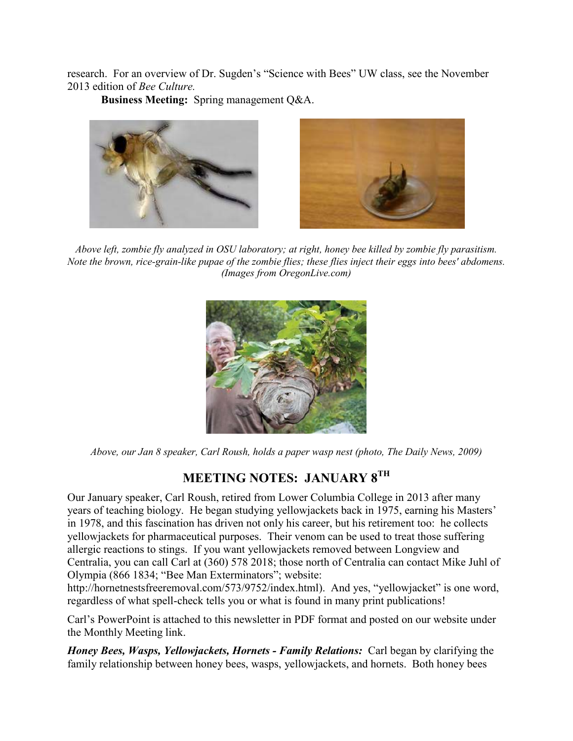research. For an overview of Dr. Sugden's "Science with Bees" UW class, see the November 2013 edition of *Bee Culture.*

**Business Meeting:** Spring management Q&A.





*Above left, zombie fly analyzed in OSU laboratory; at right, honey bee killed by zombie fly parasitism. Note the brown, rice-grain-like pupae of the zombie flies; these flies inject their eggs into bees' abdomens. (Images from OregonLive.com)*



*Above, our Jan 8 speaker, Carl Roush, holds a paper wasp nest (photo, The Daily News, 2009)*

# **MEETING NOTES: JANUARY 8TH**

Our January speaker, Carl Roush, retired from Lower Columbia College in 2013 after many years of teaching biology. He began studying yellowjackets back in 1975, earning his Masters' in 1978, and this fascination has driven not only his career, but his retirement too: he collects yellowjackets for pharmaceutical purposes. Their venom can be used to treat those suffering allergic reactions to stings. If you want yellowjackets removed between Longview and Centralia, you can call Carl at (360) 578 2018; those north of Centralia can contact Mike Juhl of Olympia (866 1834; "Bee Man Exterminators"; website:

http://hornetnestsfreeremoval.com/573/9752/index.html). And yes, "yellowjacket" is one word, regardless of what spell-check tells you or what is found in many print publications!

Carl's PowerPoint is attached to this newsletter in PDF format and posted on our website under the Monthly Meeting link.

*Honey Bees, Wasps, Yellowjackets, Hornets - Family Relations:* Carl began by clarifying the family relationship between honey bees, wasps, yellowjackets, and hornets. Both honey bees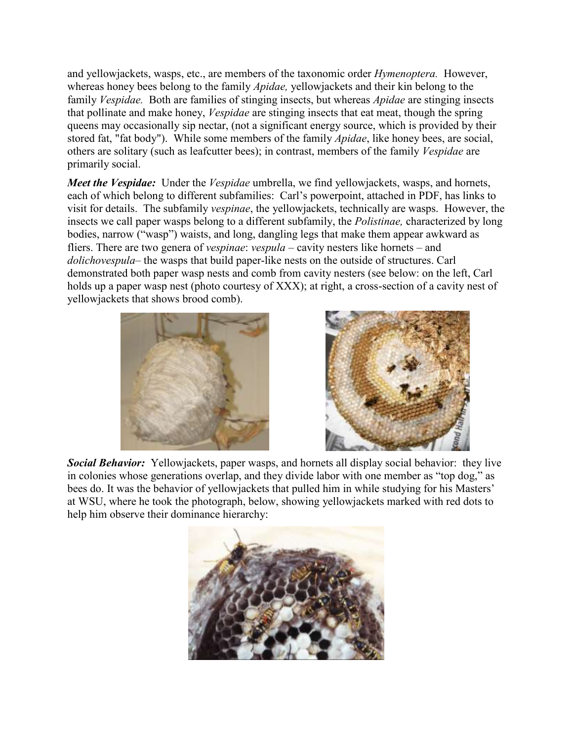and yellowjackets, wasps, etc., are members of the taxonomic order *Hymenoptera.* However, whereas honey bees belong to the family *Apidae,* yellowjackets and their kin belong to the family *Vespidae.* Both are families of stinging insects, but whereas *Apidae* are stinging insects that pollinate and make honey, *Vespidae* are stinging insects that eat meat, though the spring queens may occasionally sip nectar, (not a significant energy source, which is provided by their stored fat, "fat body"). While some members of the family *Apidae*, like honey bees, are social, others are solitary (such as leafcutter bees); in contrast, members of the family *Vespidae* are primarily social.

*Meet the Vespidae:* Under the *Vespidae* umbrella, we find yellowjackets, wasps, and hornets, each of which belong to different subfamilies: Carl's powerpoint, attached in PDF, has links to visit for details. The subfamily *vespinae*, the yellowjackets, technically are wasps. However, the insects we call paper wasps belong to a different subfamily, the *Polistinae,* characterized by long bodies, narrow ("wasp") waists, and long, dangling legs that make them appear awkward as fliers. There are two genera of *vespinae*: *vespula* – cavity nesters like hornets – and *dolichovespula*– the wasps that build paper-like nests on the outside of structures. Carl demonstrated both paper wasp nests and comb from cavity nesters (see below: on the left, Carl holds up a paper wasp nest (photo courtesy of XXX); at right, a cross-section of a cavity nest of yellowjackets that shows brood comb).





*Social Behavior:* Yellowjackets, paper wasps, and hornets all display social behavior: they live in colonies whose generations overlap, and they divide labor with one member as "top dog," as bees do. It was the behavior of yellowjackets that pulled him in while studying for his Masters' at WSU, where he took the photograph, below, showing yellowjackets marked with red dots to help him observe their dominance hierarchy:

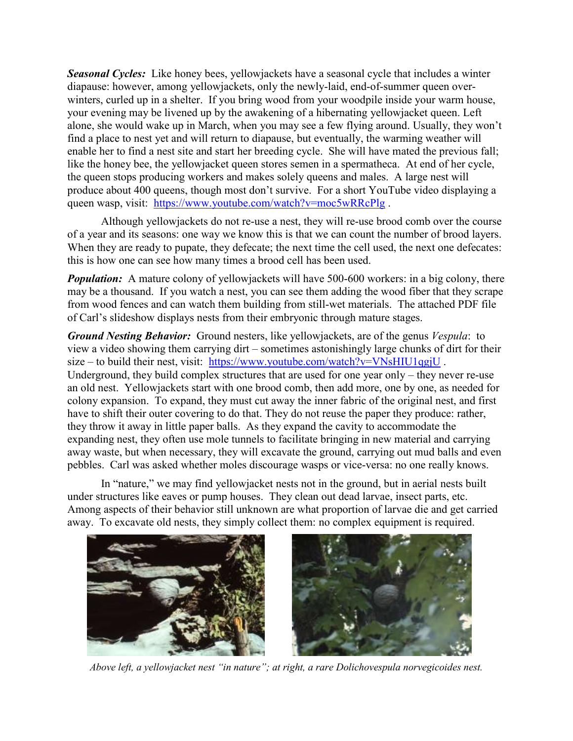*Seasonal Cycles:* Like honey bees, yellowjackets have a seasonal cycle that includes a winter diapause: however, among yellowjackets, only the newly-laid, end-of-summer queen overwinters, curled up in a shelter. If you bring wood from your woodpile inside your warm house, your evening may be livened up by the awakening of a hibernating yellowjacket queen. Left alone, she would wake up in March, when you may see a few flying around. Usually, they won't find a place to nest yet and will return to diapause, but eventually, the warming weather will enable her to find a nest site and start her breeding cycle. She will have mated the previous fall; like the honey bee, the yellowjacket queen stores semen in a spermatheca. At end of her cycle, the queen stops producing workers and makes solely queens and males. A large nest will produce about 400 queens, though most don't survive. For a short YouTube video displaying a queen wasp, visit: <https://www.youtube.com/watch?v=moc5wRRcPlg>.

Although yellowjackets do not re-use a nest, they will re-use brood comb over the course of a year and its seasons: one way we know this is that we can count the number of brood layers. When they are ready to pupate, they defecate; the next time the cell used, the next one defecates: this is how one can see how many times a brood cell has been used.

*Population:* A mature colony of yellowjackets will have 500-600 workers: in a big colony, there may be a thousand. If you watch a nest, you can see them adding the wood fiber that they scrape from wood fences and can watch them building from still-wet materials. The attached PDF file of Carl's slideshow displays nests from their embryonic through mature stages.

*Ground Nesting Behavior:* Ground nesters, like yellowjackets, are of the genus *Vespula*: to view a video showing them carrying dirt – sometimes astonishingly large chunks of dirt for their  $size - to build their nest, visit: [https://www.youtube.com/watch?v=VNsHIU1qgi"U](https://www.youtube.com/watch?v=VNsHIU1qgi).$ Underground, they build complex structures that are used for one year only – they never re-use an old nest. Yellowjackets start with one brood comb, then add more, one by one, as needed for colony expansion. To expand, they must cut away the inner fabric of the original nest, and first have to shift their outer covering to do that. They do not reuse the paper they produce: rather, they throw it away in little paper balls. As they expand the cavity to accommodate the expanding nest, they often use mole tunnels to facilitate bringing in new material and carrying away waste, but when necessary, they will excavate the ground, carrying out mud balls and even pebbles. Carl was asked whether moles discourage wasps or vice-versa: no one really knows.

In "nature," we may find yellowjacket nests not in the ground, but in aerial nests built under structures like eaves or pump houses. They clean out dead larvae, insect parts, etc. Among aspects of their behavior still unknown are what proportion of larvae die and get carried away. To excavate old nests, they simply collect them: no complex equipment is required.



*Above left, a yellowjacket nest "in nature"; at right, a rare Dolichovespula norvegicoides nest.*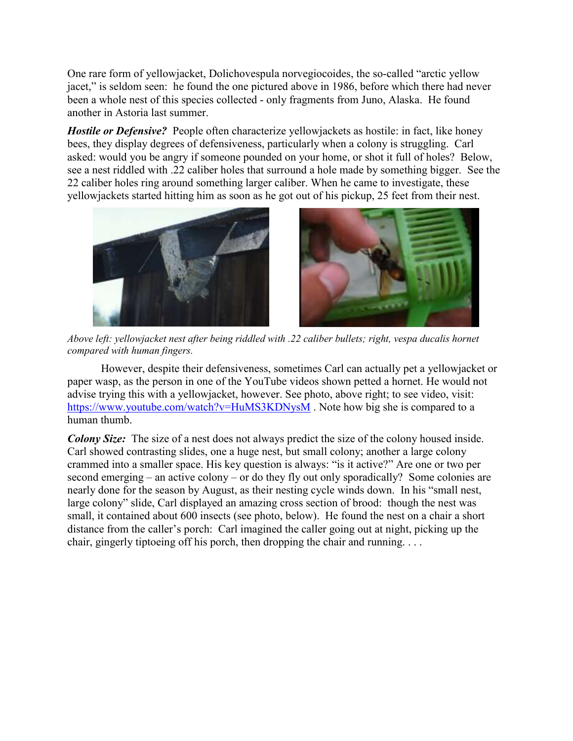One rare form of yellowjacket, Dolichovespula norvegiocoides, the so-called "arctic yellow jacet," is seldom seen: he found the one pictured above in 1986, before which there had never been a whole nest of this species collected - only fragments from Juno, Alaska. He found another in Astoria last summer.

*Hostile or Defensive?* People often characterize yellowjackets as hostile: in fact, like honey bees, they display degrees of defensiveness, particularly when a colony is struggling. Carl asked: would you be angry if someone pounded on your home, or shot it full of holes? Below, see a nest riddled with .22 caliber holes that surround a hole made by something bigger. See the 22 caliber holes ring around something larger caliber. When he came to investigate, these yellowjackets started hitting him as soon as he got out of his pickup, 25 feet from their nest.



*Above left: yellowjacket nest after being riddled with .22 caliber bullets; right, vespa ducalis hornet compared with human fingers.*

However, despite their defensiveness, sometimes Carl can actually pet a yellowjacket or paper wasp, as the person in one of the YouTube videos shown petted a hornet. He would not advise trying this with a yellowjacket, however. See photo, above right; to see video, visit: <https://www.youtube.com/watch?v=HuMS3KDNysM>. Note how big she is compared to a human thumb.

*Colony Size:* The size of a nest does not always predict the size of the colony housed inside. Carl showed contrasting slides, one a huge nest, but small colony; another a large colony crammed into a smaller space. His key question is always: "is it active?" Are one or two per second emerging – an active colony – or do they fly out only sporadically? Some colonies are nearly done for the season by August, as their nesting cycle winds down. In his "small nest, large colony" slide, Carl displayed an amazing cross section of brood: though the nest was small, it contained about 600 insects (see photo, below). He found the nest on a chair a short distance from the caller's porch: Carl imagined the caller going out at night, picking up the chair, gingerly tiptoeing off his porch, then dropping the chair and running. . . .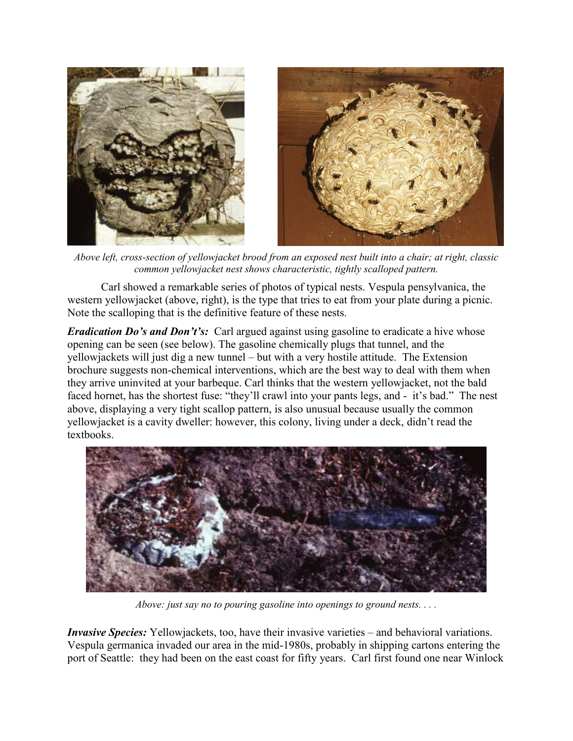

*Above left, cross-section of yellowjacket brood from an exposed nest built into a chair; at right, classic common yellowjacket nest shows characteristic, tightly scalloped pattern.*

Carl showed a remarkable series of photos of typical nests. Vespula pensylvanica, the western yellowjacket (above, right), is the type that tries to eat from your plate during a picnic. Note the scalloping that is the definitive feature of these nests.

*Eradication Do's and Don't's:* Carl argued against using gasoline to eradicate a hive whose opening can be seen (see below). The gasoline chemically plugs that tunnel, and the yellowjackets will just dig a new tunnel – but with a very hostile attitude. The Extension brochure suggests non-chemical interventions, which are the best way to deal with them when they arrive uninvited at your barbeque. Carl thinks that the western yellowjacket, not the bald faced hornet, has the shortest fuse: "they'll crawl into your pants legs, and - it's bad." The nest above, displaying a very tight scallop pattern, is also unusual because usually the common yellowjacket is a cavity dweller: however, this colony, living under a deck, didn't read the textbooks.



*Above: just say no to pouring gasoline into openings to ground nests. . . .*

*Invasive Species:* Yellowjackets, too, have their invasive varieties – and behavioral variations. Vespula germanica invaded our area in the mid-1980s, probably in shipping cartons entering the port of Seattle: they had been on the east coast for fifty years. Carl first found one near Winlock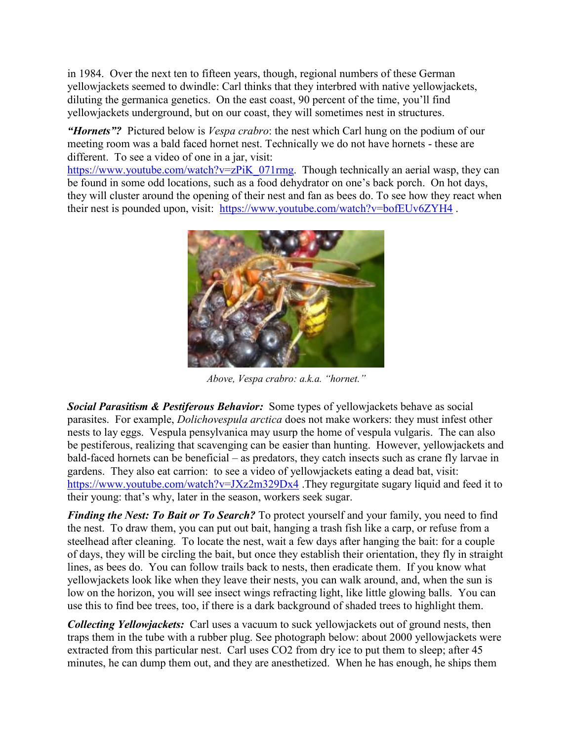in 1984. Over the next ten to fifteen years, though, regional numbers of these German yellowjackets seemed to dwindle: Carl thinks that they interbred with native yellowjackets, diluting the germanica genetics. On the east coast, 90 percent of the time, you'll find yellowjackets underground, but on our coast, they will sometimes nest in structures.

*"Hornets"?* Pictured below is *Vespa crabro*: the nest which Carl hung on the podium of our meeting room was a bald faced hornet nest. Technically we do not have hornets - these are different. To see a video of one in a jar, visit:

[https://www.youtube.com/watch?v=zPiK\\_071rmg.](https://www.youtube.com/watch?v=zPiK_071rmg) Though technically an aerial wasp, they can be found in some odd locations, such as a food dehydrator on one's back porch. On hot days, they will cluster around the opening of their nest and fan as bees do. To see how they react when their nest is pounded upon, visit: <https://www.youtube.com/watch?v=bofEUv6ZYH4>.



*Above, Vespa crabro: a.k.a. "hornet."*

*Social Parasitism & Pestiferous Behavior:* Some types of yellowjackets behave as social parasites. For example, *Dolichovespula arctica* does not make workers: they must infest other nests to lay eggs. Vespula pensylvanica may usurp the home of vespula vulgaris. The can also be pestiferous, realizing that scavenging can be easier than hunting. However, yellowjackets and bald-faced hornets can be beneficial – as predators, they catch insects such as crane fly larvae in gardens. They also eat carrion: to see a video of yellowjackets eating a dead bat, visit: <https://www.youtube.com/watch?v=JXz2m329Dx4>. They regurgitate sugary liquid and feed it to their young: that's why, later in the season, workers seek sugar.

*Finding the Nest: To Bait or To Search?* To protect yourself and your family, you need to find the nest. To draw them, you can put out bait, hanging a trash fish like a carp, or refuse from a steelhead after cleaning. To locate the nest, wait a few days after hanging the bait: for a couple of days, they will be circling the bait, but once they establish their orientation, they fly in straight lines, as bees do. You can follow trails back to nests, then eradicate them. If you know what yellowjackets look like when they leave their nests, you can walk around, and, when the sun is low on the horizon, you will see insect wings refracting light, like little glowing balls. You can use this to find bee trees, too, if there is a dark background of shaded trees to highlight them.

*Collecting Yellowjackets:* Carl uses a vacuum to suck yellowjackets out of ground nests, then traps them in the tube with a rubber plug. See photograph below: about 2000 yellowjackets were extracted from this particular nest. Carl uses CO2 from dry ice to put them to sleep; after 45 minutes, he can dump them out, and they are anesthetized. When he has enough, he ships them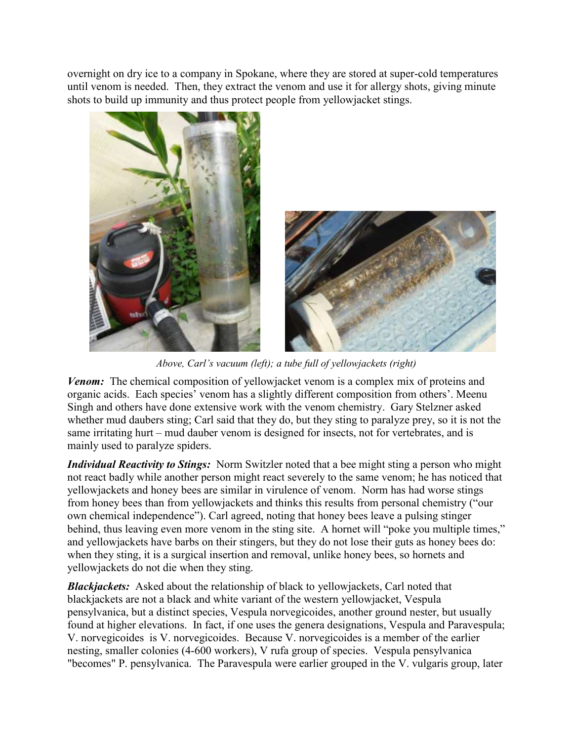overnight on dry ice to a company in Spokane, where they are stored at super-cold temperatures until venom is needed. Then, they extract the venom and use it for allergy shots, giving minute shots to build up immunity and thus protect people from yellowjacket stings.





*Above, Carl's vacuum (left); a tube full of yellowjackets (right)*

*Venom:* The chemical composition of yellowjacket venom is a complex mix of proteins and organic acids. Each species' venom has a slightly different composition from others'. Meenu Singh and others have done extensive work with the venom chemistry. Gary Stelzner asked whether mud daubers sting; Carl said that they do, but they sting to paralyze prey, so it is not the same irritating hurt – mud dauber venom is designed for insects, not for vertebrates, and is mainly used to paralyze spiders.

*Individual Reactivity to Stings:* Norm Switzler noted that a bee might sting a person who might not react badly while another person might react severely to the same venom; he has noticed that yellowjackets and honey bees are similar in virulence of venom. Norm has had worse stings from honey bees than from yellowjackets and thinks this results from personal chemistry ("our own chemical independence"). Carl agreed, noting that honey bees leave a pulsing stinger behind, thus leaving even more venom in the sting site. A hornet will "poke you multiple times," and yellowjackets have barbs on their stingers, but they do not lose their guts as honey bees do: when they sting, it is a surgical insertion and removal, unlike honey bees, so hornets and yellowjackets do not die when they sting.

*Blackjackets:* Asked about the relationship of black to yellowjackets, Carl noted that blackjackets are not a black and white variant of the western yellowjacket, Vespula pensylvanica, but a distinct species, Vespula norvegicoides, another ground nester, but usually found at higher elevations. In fact, if one uses the genera designations, Vespula and Paravespula; V. norvegicoides is V. norvegicoides. Because V. norvegicoides is a member of the earlier nesting, smaller colonies (4-600 workers), V rufa group of species. Vespula pensylvanica "becomes" P. pensylvanica. The Paravespula were earlier grouped in the V. vulgaris group, later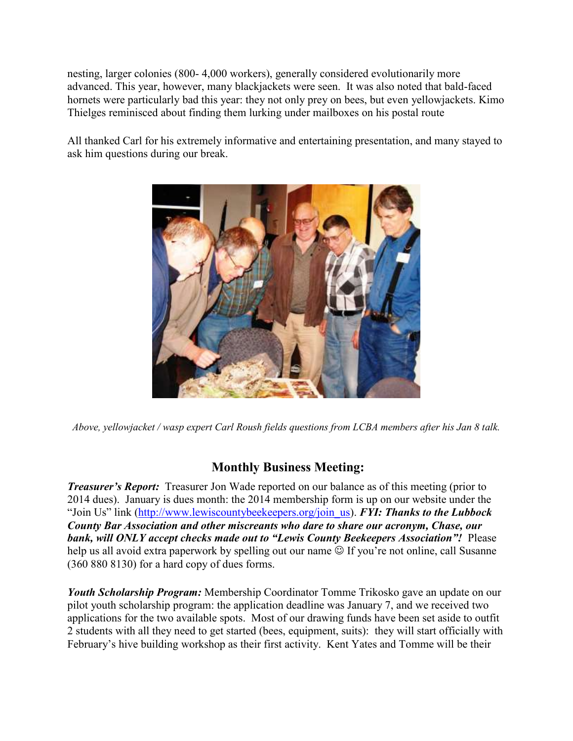nesting, larger colonies (800- 4,000 workers), generally considered evolutionarily more advanced. This year, however, many blackjackets were seen. It was also noted that bald-faced hornets were particularly bad this year: they not only prey on bees, but even yellowjackets. Kimo Thielges reminisced about finding them lurking under mailboxes on his postal route

All thanked Carl for his extremely informative and entertaining presentation, and many stayed to ask him questions during our break.



*Above, yellowjacket / wasp expert Carl Roush fields questions from LCBA members after his Jan 8 talk.*

# **Monthly Business Meeting:**

*Treasurer's Report:* Treasurer Jon Wade reported on our balance as of this meeting (prior to 2014 dues). January is dues month: the 2014 membership form is up on our website under the "Join Us" link ([http://www.lewiscountybeekeepers.org/join\\_us\)](http://www.lewiscountybeekeepers.org/join_us). *FYI: Thanks to the Lubbock County Bar Association and other miscreants who dare to share our acronym, Chase, our bank, will ONLY accept checks made out to "Lewis County Beekeepers Association"!* Please help us all avoid extra paperwork by spelling out our name  $\odot$  If you're not online, call Susanne (360 880 8130) for a hard copy of dues forms.

*Youth Scholarship Program:* Membership Coordinator Tomme Trikosko gave an update on our pilot youth scholarship program: the application deadline was January 7, and we received two applications for the two available spots. Most of our drawing funds have been set aside to outfit 2 students with all they need to get started (bees, equipment, suits): they will start officially with February's hive building workshop as their first activity. Kent Yates and Tomme will be their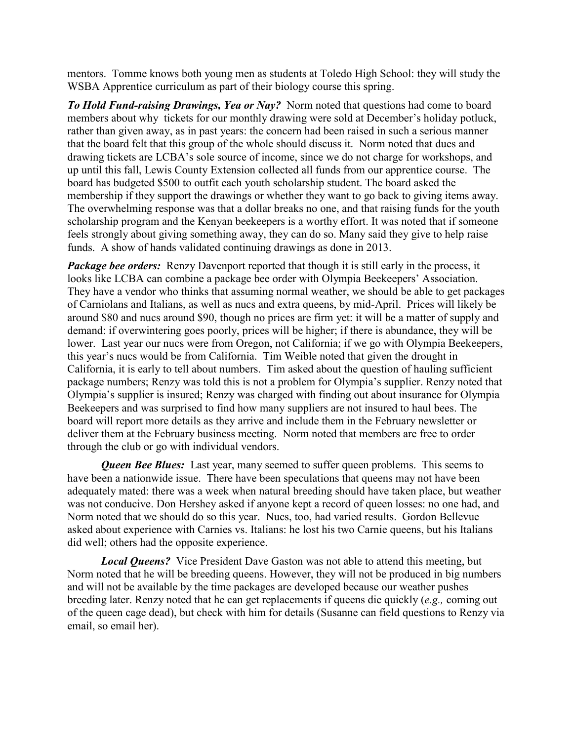mentors. Tomme knows both young men as students at Toledo High School: they will study the WSBA Apprentice curriculum as part of their biology course this spring.

*To Hold Fund-raising Drawings, Yea or Nay?* Norm noted that questions had come to board members about why tickets for our monthly drawing were sold at December's holiday potluck, rather than given away, as in past years: the concern had been raised in such a serious manner that the board felt that this group of the whole should discuss it. Norm noted that dues and drawing tickets are LCBA's sole source of income, since we do not charge for workshops, and up until this fall, Lewis County Extension collected all funds from our apprentice course. The board has budgeted \$500 to outfit each youth scholarship student. The board asked the membership if they support the drawings or whether they want to go back to giving items away. The overwhelming response was that a dollar breaks no one, and that raising funds for the youth scholarship program and the Kenyan beekeepers is a worthy effort. It was noted that if someone feels strongly about giving something away, they can do so. Many said they give to help raise funds. A show of hands validated continuing drawings as done in 2013.

**Package bee orders:** Renzy Davenport reported that though it is still early in the process, it looks like LCBA can combine a package bee order with Olympia Beekeepers' Association. They have a vendor who thinks that assuming normal weather, we should be able to get packages of Carniolans and Italians, as well as nucs and extra queens, by mid-April. Prices will likely be around \$80 and nucs around \$90, though no prices are firm yet: it will be a matter of supply and demand: if overwintering goes poorly, prices will be higher; if there is abundance, they will be lower. Last year our nucs were from Oregon, not California; if we go with Olympia Beekeepers, this year's nucs would be from California. Tim Weible noted that given the drought in California, it is early to tell about numbers. Tim asked about the question of hauling sufficient package numbers; Renzy was told this is not a problem for Olympia's supplier. Renzy noted that Olympia's supplier is insured; Renzy was charged with finding out about insurance for Olympia Beekeepers and was surprised to find how many suppliers are not insured to haul bees. The board will report more details as they arrive and include them in the February newsletter or deliver them at the February business meeting. Norm noted that members are free to order through the club or go with individual vendors.

*Queen Bee Blues:* Last year, many seemed to suffer queen problems. This seems to have been a nationwide issue. There have been speculations that queens may not have been adequately mated: there was a week when natural breeding should have taken place, but weather was not conducive. Don Hershey asked if anyone kept a record of queen losses: no one had, and Norm noted that we should do so this year. Nucs, too, had varied results. Gordon Bellevue asked about experience with Carnies vs. Italians: he lost his two Carnie queens, but his Italians did well; others had the opposite experience.

*Local Queens?* Vice President Dave Gaston was not able to attend this meeting, but Norm noted that he will be breeding queens. However, they will not be produced in big numbers and will not be available by the time packages are developed because our weather pushes breeding later. Renzy noted that he can get replacements if queens die quickly (*e.g.,* coming out of the queen cage dead), but check with him for details (Susanne can field questions to Renzy via email, so email her).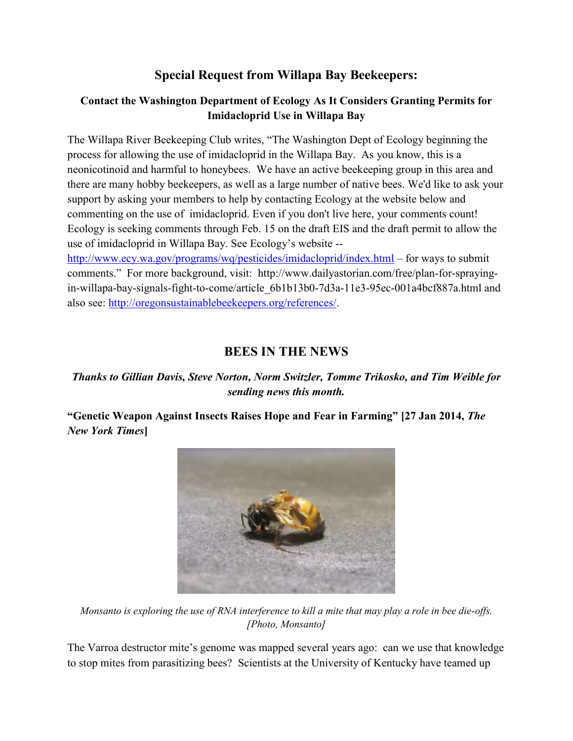## **Special Request from Willapa Bay Beekeepers:**

## **Contact the Washington Department of Ecology As It Considers Granting Permits for Imidacloprid Use in Willapa Bay**

The Willapa River Beekeeping Club writes, "The Washington Dept of Ecology beginning the process for allowing the use of imidacloprid in the Willapa Bay. As you know, this is a neonicotinoid and harmful to honeybees. We have an active beekeeping group in this area and there are many hobby beekeepers, as well as a large number of native bees. We'd like to ask your support by asking your members to help by contacting Ecology at the website below and commenting on the use of imidacloprid. Even if you don't live here, your comments count! Ecology is seeking comments through Feb. 15 on the draft EIS and the draft permit to allow the use of imidacloprid in Willapa Bay. See Ecology's website --

<http://www.ecy.wa.gov/programs/wq/pesticides/imidacloprid/index.html> – for ways to submit comments." For more background, visit: http://www.dailyastorian.com/free/plan-for-sprayingin-willapa-bay-signals-fight-to-come/article\_6b1b13b0-7d3a-11e3-95ec-001a4bcf887a.html and also see: [http://oregonsustainablebeekeepers.org/references/.](http://oregonsustainablebeekeepers.org/references/)

## **BEES IN THE NEWS**

## *Thanks to Gillian Davis, Steve Norton, Norm Switzler, Tomme Trikosko, and Tim Weible for sending news this month.*

**"Genetic Weapon Against Insects Raises Hope and Fear in Farming" [27 Jan 2014,** *The New York Times***]**



*Monsanto is exploring the use of RNA interference to kill a mite that may play a role in bee die-offs. [Photo, Monsanto]*

The Varroa destructor mite's genome was mapped several years ago: can we use that knowledge to stop mites from parasitizing bees? Scientists at the University of Kentucky have teamed up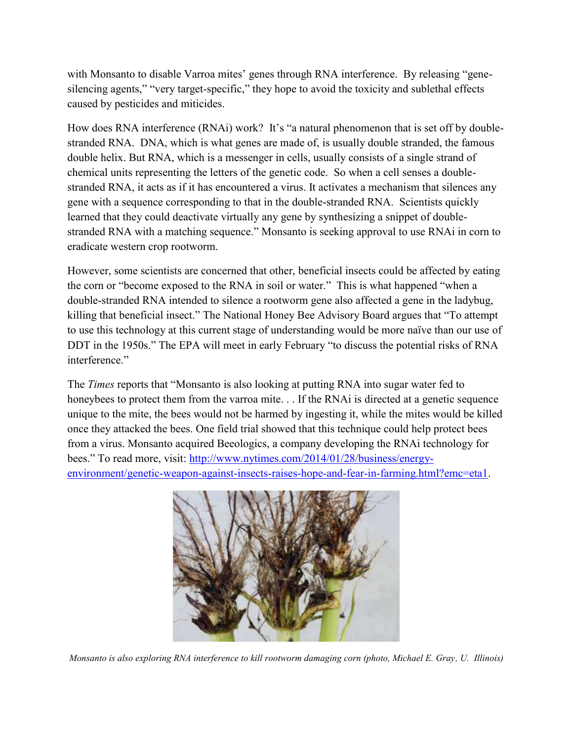with Monsanto to disable Varroa mites' genes through RNA interference. By releasing "genesilencing agents," "very target-specific," they hope to avoid the toxicity and sublethal effects caused by pesticides and miticides.

How does RNA interference (RNAi) work? It's "a natural phenomenon that is set off by doublestranded RNA. DNA, which is what genes are made of, is usually double stranded, the famous double helix. But RNA, which is a messenger in cells, usually consists of a single strand of chemical units representing the letters of the genetic code. So when a cell senses a doublestranded RNA, it acts as if it has encountered a virus. It activates a mechanism that silences any gene with a sequence corresponding to that in the double-stranded RNA. Scientists quickly learned that they could deactivate virtually any gene by synthesizing a snippet of doublestranded RNA with a matching sequence." Monsanto is seeking approval to use RNAi in corn to eradicate western crop rootworm.

However, some scientists are concerned that other, beneficial insects could be affected by eating the corn or "become exposed to the RNA in soil or water." This is what happened "when a double-stranded RNA intended to silence a rootworm gene also affected a gene in the ladybug, killing that beneficial insect." The National Honey Bee Advisory Board argues that "To attempt to use this technology at this current stage of understanding would be more naïve than our use of DDT in the 1950s." The EPA will meet in early February "to discuss the potential risks of RNA interference."

The *Times* reports that "Monsanto is also looking at putting RNA into sugar water fed to honeybees to protect them from the varroa mite. . . If the RNAi is directed at a genetic sequence unique to the mite, the bees would not be harmed by ingesting it, while the mites would be killed once they attacked the bees. One field trial showed that this technique could help protect bees from a virus. Monsanto acquired Beeologics, a company developing the RNAi technology for bees." To read more, visit: [http://www.nytimes.com/2014/01/28/business/energy](http://www.nytimes.com/2014/01/28/business/energy-environment/genetic-weapon-against-insects-raises-hope-and-fear-in-farming.html?emc=eta1)[environment/genetic-weapon-against-insects-raises-hope-and-fear-in-farming.html?emc=eta1.](http://www.nytimes.com/2014/01/28/business/energy-environment/genetic-weapon-against-insects-raises-hope-and-fear-in-farming.html?emc=eta1)



*Monsanto is also exploring RNA interference to kill rootworm damaging corn (photo, Michael E. Gray, U. Illinois)*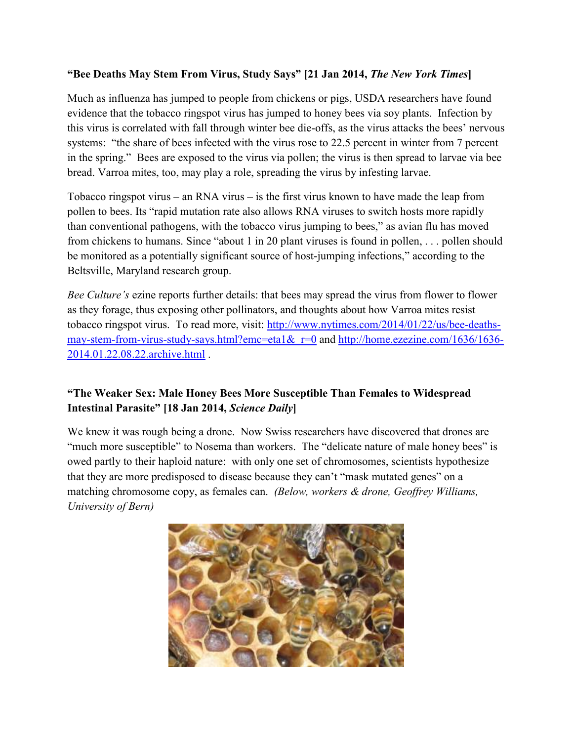### **"Bee Deaths May Stem From Virus, Study Says" [21 Jan 2014,** *The New York Times***]**

Much as influenza has jumped to people from chickens or pigs, USDA researchers have found evidence that the tobacco ringspot virus has jumped to honey bees via soy plants. Infection by this virus is correlated with fall through winter bee die-offs, as the virus attacks the bees' nervous systems: "the share of bees infected with the virus rose to 22.5 percent in winter from 7 percent in the spring." Bees are exposed to the virus via pollen; the virus is then spread to larvae via bee bread. Varroa mites, too, may play a role, spreading the virus by infesting larvae.

Tobacco ringspot virus – an RNA virus – is the first virus known to have made the leap from pollen to bees. Its "rapid mutation rate also allows RNA viruses to switch hosts more rapidly than conventional pathogens, with the tobacco virus jumping to bees," as avian flu has moved from chickens to humans. Since "about 1 in 20 plant viruses is found in pollen, . . . pollen should be monitored as a potentially significant source of host-jumping infections," according to the Beltsville, Maryland research group.

*Bee Culture's* ezine reports further details: that bees may spread the virus from flower to flower as they forage, thus exposing other pollinators, and thoughts about how Varroa mites resist tobacco ringspot virus. To read more, visit: [http://www.nytimes.com/2014/01/22/us/bee-deaths](http://www.nytimes.com/2014/01/22/us/bee-deaths-may-stem-from-virus-study-says.html?emc=eta1&_r=0)may-stem-from-virus-study-says.html?emc=eta1& r=0 and [http://home.ezezine.com/1636/1636-](http://home.ezezine.com/1636/1636-2014.01.22.08.22.archive.html) [2014.01.22.08.22.archive.html](http://home.ezezine.com/1636/1636-2014.01.22.08.22.archive.html) .

## **"The Weaker Sex: Male Honey Bees More Susceptible Than Females to Widespread Intestinal Parasite" [18 Jan 2014,** *Science Daily***]**

We knew it was rough being a drone. Now Swiss researchers have discovered that drones are "much more susceptible" to Nosema than workers. The "delicate nature of male honey bees" is owed partly to their haploid nature: with only one set of chromosomes, scientists hypothesize that they are more predisposed to disease because they can't "mask mutated genes" on a matching chromosome copy, as females can. *(Below, workers & drone, Geoffrey Williams, University of Bern)*

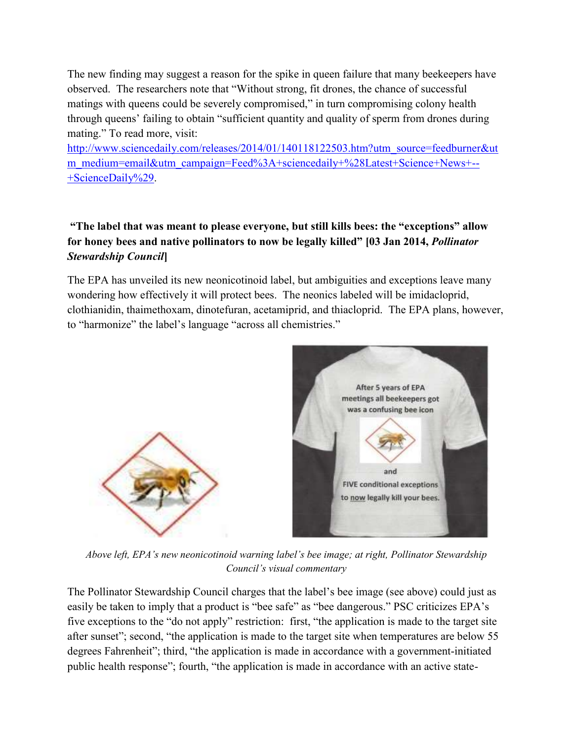The new finding may suggest a reason for the spike in queen failure that many beekeepers have observed. The researchers note that "Without strong, fit drones, the chance of successful matings with queens could be severely compromised," in turn compromising colony health through queens' failing to obtain "sufficient quantity and quality of sperm from drones during mating." To read more, visit:

[http://www.sciencedaily.com/releases/2014/01/140118122503.htm?utm\\_source=feedburner&ut](http://www.sciencedaily.com/releases/2014/01/140118122503.htm?utm_source=feedburner&utm_medium=email&utm_campaign=Feed%3A+sciencedaily+%28Latest+Science+News+--+ScienceDaily%29) [m\\_medium=email&utm\\_campaign=Feed%3A+sciencedaily+%28Latest+Science+News+--](http://www.sciencedaily.com/releases/2014/01/140118122503.htm?utm_source=feedburner&utm_medium=email&utm_campaign=Feed%3A+sciencedaily+%28Latest+Science+News+--+ScienceDaily%29) [+ScienceDaily%29.](http://www.sciencedaily.com/releases/2014/01/140118122503.htm?utm_source=feedburner&utm_medium=email&utm_campaign=Feed%3A+sciencedaily+%28Latest+Science+News+--+ScienceDaily%29)

## **"The label that was meant to please everyone, but still kills bees: the "exceptions" allow for honey bees and native pollinators to now be legally killed" [03 Jan 2014,** *Pollinator Stewardship Council***]**

The EPA has unveiled its new neonicotinoid label, but ambiguities and exceptions leave many wondering how effectively it will protect bees. The neonics labeled will be imidacloprid, clothianidin, thaimethoxam, dinotefuran, acetamiprid, and thiacloprid. The EPA plans, however, to "harmonize" the label's language "across all chemistries."



*Above left, EPA's new neonicotinoid warning label's bee image; at right, Pollinator Stewardship Council's visual commentary*

The Pollinator Stewardship Council charges that the label's bee image (see above) could just as easily be taken to imply that a product is "bee safe" as "bee dangerous." PSC criticizes EPA's five exceptions to the "do not apply" restriction: first, "the application is made to the target site after sunset"; second, "the application is made to the target site when temperatures are below 55 degrees Fahrenheit"; third, "the application is made in accordance with a government-initiated public health response"; fourth, "the application is made in accordance with an active state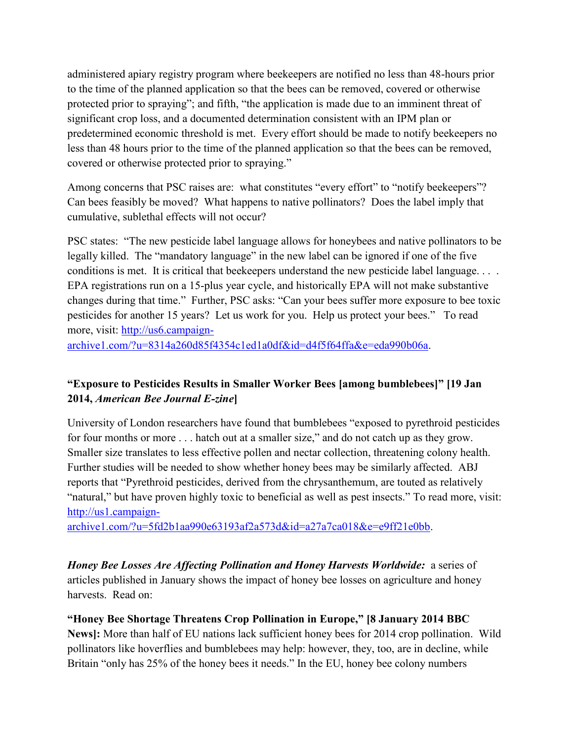administered apiary registry program where beekeepers are notified no less than 48-hours prior to the time of the planned application so that the bees can be removed, covered or otherwise protected prior to spraying"; and fifth, "the application is made due to an imminent threat of significant crop loss, and a documented determination consistent with an IPM plan or predetermined economic threshold is met. Every effort should be made to notify beekeepers no less than 48 hours prior to the time of the planned application so that the bees can be removed, covered or otherwise protected prior to spraying."

Among concerns that PSC raises are: what constitutes "every effort" to "notify beekeepers"? Can bees feasibly be moved? What happens to native pollinators? Does the label imply that cumulative, sublethal effects will not occur?

PSC states: "The new pesticide label language allows for honeybees and native pollinators to be legally killed. The "mandatory language" in the new label can be ignored if one of the five conditions is met. It is critical that beekeepers understand the new pesticide label language. . . . EPA registrations run on a 15-plus year cycle, and historically EPA will not make substantive changes during that time." Further, PSC asks: "Can your bees suffer more exposure to bee toxic pesticides for another 15 years? Let us work for you. Help us protect your bees." To read more, visit: [http://us6.campaign-](http://us6.campaign-archive1.com/?u=8314a260d85f4354c1ed1a0df&id=d4f5f64ffa&e=eda990b06a)

[archive1.com/?u=8314a260d85f4354c1ed1a0df&id=d4f5f64ffa&e=eda990b06a.](http://us6.campaign-archive1.com/?u=8314a260d85f4354c1ed1a0df&id=d4f5f64ffa&e=eda990b06a)

## **"Exposure to Pesticides Results in Smaller Worker Bees [among bumblebees]" [19 Jan 2014,** *American Bee Journal E-zine***]**

University of London researchers have found that bumblebees "exposed to pyrethroid pesticides for four months or more . . . hatch out at a smaller size," and do not catch up as they grow. Smaller size translates to less effective pollen and nectar collection, threatening colony health. Further studies will be needed to show whether honey bees may be similarly affected. ABJ reports that "Pyrethroid pesticides, derived from the chrysanthemum, are touted as relatively "natural," but have proven highly toxic to beneficial as well as pest insects." To read more, visit: [http://us1.campaign-](http://us1.campaign-archive1.com/?u=5fd2b1aa990e63193af2a573d&id=a27a7ca018&e=e9ff21e0bb)

[archive1.com/?u=5fd2b1aa990e63193af2a573d&id=a27a7ca018&e=e9ff21e0bb.](http://us1.campaign-archive1.com/?u=5fd2b1aa990e63193af2a573d&id=a27a7ca018&e=e9ff21e0bb)

*Honey Bee Losses Are Affecting Pollination and Honey Harvests Worldwide:* a series of articles published in January shows the impact of honey bee losses on agriculture and honey harvests. Read on:

## **"Honey Bee Shortage Threatens Crop Pollination in Europe," [8 January 2014 BBC News]:** More than half of EU nations lack sufficient honey bees for 2014 crop pollination. Wild pollinators like hoverflies and bumblebees may help: however, they, too, are in decline, while Britain "only has 25% of the honey bees it needs." In the EU, honey bee colony numbers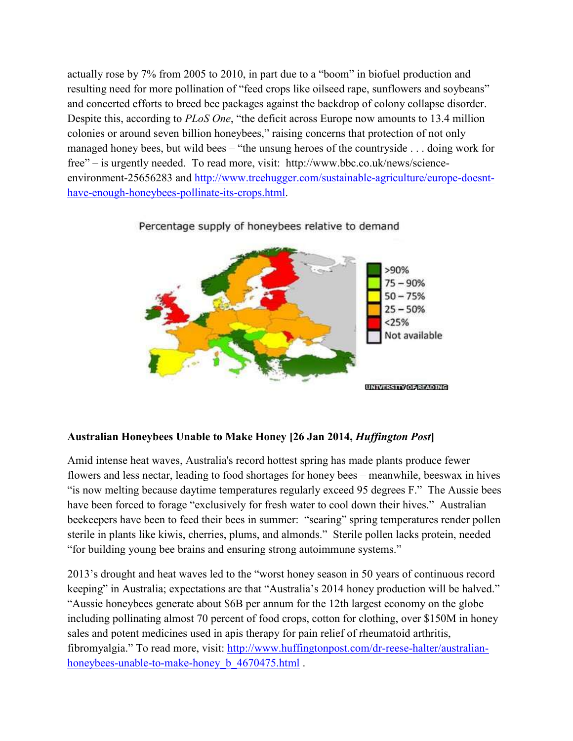actually rose by 7% from 2005 to 2010, in part due to a "boom" in biofuel production and resulting need for more pollination of "feed crops like oilseed rape, sunflowers and soybeans" and concerted efforts to breed bee packages against the backdrop of colony collapse disorder. Despite this, according to *PLoS One*, "the deficit across Europe now amounts to 13.4 million colonies or around seven billion honeybees," raising concerns that protection of not only managed honey bees, but wild bees – "the unsung heroes of the countryside . . . doing work for free" – is urgently needed. To read more, visit: http://www.bbc.co.uk/news/scienceenvironment-25656283 and [http://www.treehugger.com/sustainable-agriculture/europe-doesnt](http://www.treehugger.com/sustainable-agriculture/europe-doesnt-have-enough-honeybees-pollinate-its-crops.html)[have-enough-honeybees-pollinate-its-crops.html.](http://www.treehugger.com/sustainable-agriculture/europe-doesnt-have-enough-honeybees-pollinate-its-crops.html)

# $>90%$  $75 - 90%$  $50 - 75%$  $25 - 50%$  $25%$ Not available UNIVERSITY OF READING

#### Percentage supply of honeybees relative to demand

## **Australian Honeybees Unable to Make Honey [26 Jan 2014,** *Huffington Post***]**

Amid intense heat waves, Australia's record hottest spring has made plants produce fewer flowers and less nectar, leading to food shortages for honey bees – meanwhile, beeswax in hives "is now melting because daytime temperatures regularly exceed 95 degrees F." The Aussie bees have been forced to forage "exclusively for fresh water to cool down their hives." Australian beekeepers have been to feed their bees in summer: "searing" spring temperatures render pollen sterile in plants like kiwis, cherries, plums, and almonds." Sterile pollen lacks protein, needed "for building young bee brains and ensuring strong autoimmune systems."

2013's drought and heat waves led to the "worst honey season in 50 years of continuous record keeping" in Australia; expectations are that "Australia's 2014 honey production will be halved." "Aussie honeybees generate about \$6B per annum for the 12th largest economy on the globe including pollinating almost 70 percent of food crops, cotton for clothing, over \$150M in honey sales and potent medicines used in apis therapy for pain relief of rheumatoid arthritis, fibromyalgia." To read more, visit: [http://www.huffingtonpost.com/dr-reese-halter/australian](http://www.huffingtonpost.com/dr-reese-halter/australian-honeybees-unable-to-make-honey_b_4670475.html)[honeybees-unable-to-make-honey\\_b\\_4670475.html](http://www.huffingtonpost.com/dr-reese-halter/australian-honeybees-unable-to-make-honey_b_4670475.html) .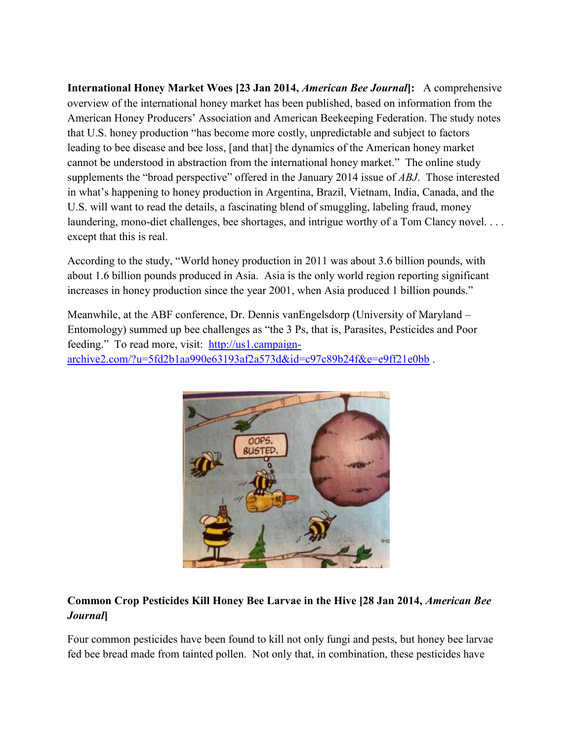**International Honey Market Woes [23 Jan 2014,** *American Bee Journal***]:** A comprehensive overview of the international honey market has been published, based on information from the American Honey Producers' Association and American Beekeeping Federation. The study notes that U.S. honey production "has become more costly, unpredictable and subject to factors leading to bee disease and bee loss, [and that] the dynamics of the American honey market cannot be understood in abstraction from the international honey market." The online study supplements the "broad perspective" offered in the January 2014 issue of *ABJ*. Those interested in what's happening to honey production in Argentina, Brazil, Vietnam, India, Canada, and the U.S. will want to read the details, a fascinating blend of smuggling, labeling fraud, money laundering, mono-diet challenges, bee shortages, and intrigue worthy of a Tom Clancy novel. . . . except that this is real.

According to the study, "World honey production in 2011 was about 3.6 billion pounds, with about 1.6 billion pounds produced in Asia. Asia is the only world region reporting significant increases in honey production since the year 2001, when Asia produced 1 billion pounds."

Meanwhile, at the ABF conference, Dr. Dennis vanEngelsdorp (University of Maryland – Entomology) summed up bee challenges as "the 3 Ps, that is, Parasites, Pesticides and Poor feeding." To read more, visit: [http://us1.campaign](http://us1.campaign-archive2.com/?u=5fd2b1aa990e63193af2a573d&id=c97c89b24f&e=e9ff21e0bb)[archive2.com/?u=5fd2b1aa990e63193af2a573d&id=c97c89b24f&e=e9ff21e0bb](http://us1.campaign-archive2.com/?u=5fd2b1aa990e63193af2a573d&id=c97c89b24f&e=e9ff21e0bb) .



## **Common Crop Pesticides Kill Honey Bee Larvae in the Hive [28 Jan 2014,** *American Bee Journal***]**

Four common pesticides have been found to kill not only fungi and pests, but honey bee larvae fed bee bread made from tainted pollen. Not only that, in combination, these pesticides have